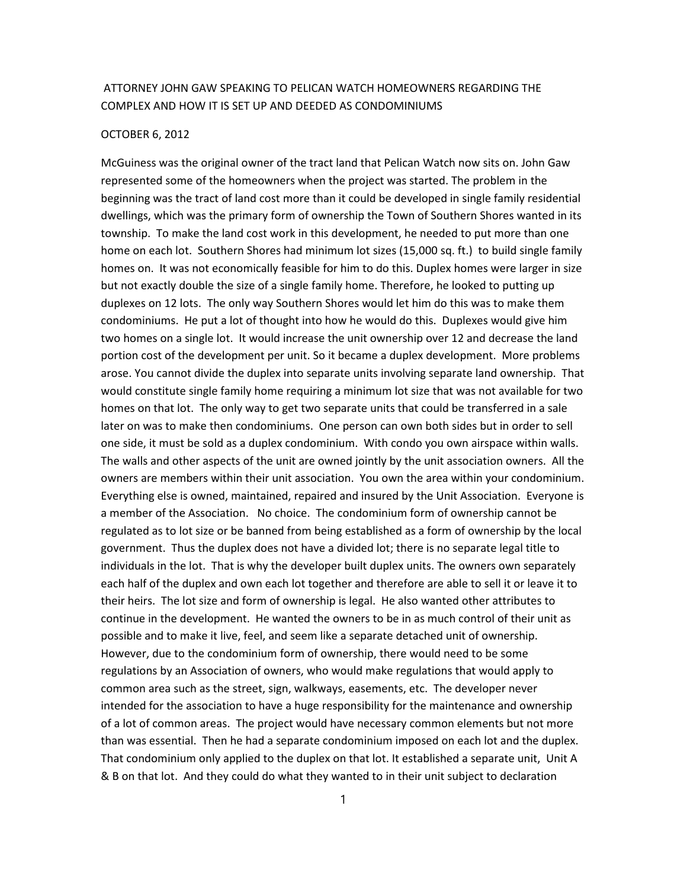## ATTORNEY JOHN GAW SPEAKING TO PELICAN WATCH HOMEOWNERS REGARDING THE COMPLEX AND HOW IT IS SET UP AND DEEDED AS CONDOMINIUMS

## OCTOBER 6, 2012

McGuiness was the original owner of the tract land that Pelican Watch now sits on. John Gaw represented some of the homeowners when the project was started. The problem in the beginning was the tract of land cost more than it could be developed in single family residential dwellings, which was the primary form of ownership the Town of Southern Shores wanted in its township. To make the land cost work in this development, he needed to put more than one home on each lot. Southern Shores had minimum lot sizes (15,000 sq. ft.) to build single family homes on. It was not economically feasible for him to do this. Duplex homes were larger in size but not exactly double the size of a single family home. Therefore, he looked to putting up duplexes on 12 lots. The only way Southern Shores would let him do this was to make them condominiums. He put a lot of thought into how he would do this. Duplexes would give him two homes on a single lot. It would increase the unit ownership over 12 and decrease the land portion cost of the development per unit. So it became a duplex development. More problems arose. You cannot divide the duplex into separate units involving separate land ownership. That would constitute single family home requiring a minimum lot size that was not available for two homes on that lot. The only way to get two separate units that could be transferred in a sale later on was to make then condominiums. One person can own both sides but in order to sell one side, it must be sold as a duplex condominium. With condo you own airspace within walls. The walls and other aspects of the unit are owned jointly by the unit association owners. All the owners are members within their unit association. You own the area within your condominium. Everything else is owned, maintained, repaired and insured by the Unit Association. Everyone is a member of the Association. No choice. The condominium form of ownership cannot be regulated as to lot size or be banned from being established as a form of ownership by the local government. Thus the duplex does not have a divided lot; there is no separate legal title to individuals in the lot. That is why the developer built duplex units. The owners own separately each half of the duplex and own each lot together and therefore are able to sell it or leave it to their heirs. The lot size and form of ownership is legal. He also wanted other attributes to continue in the development. He wanted the owners to be in as much control of their unit as possible and to make it live, feel, and seem like a separate detached unit of ownership. However, due to the condominium form of ownership, there would need to be some regulations by an Association of owners, who would make regulations that would apply to common area such as the street, sign, walkways, easements, etc. The developer never intended for the association to have a huge responsibility for the maintenance and ownership of a lot of common areas. The project would have necessary common elements but not more than was essential. Then he had a separate condominium imposed on each lot and the duplex. That condominium only applied to the duplex on that lot. It established a separate unit, Unit A & B on that lot. And they could do what they wanted to in their unit subject to declaration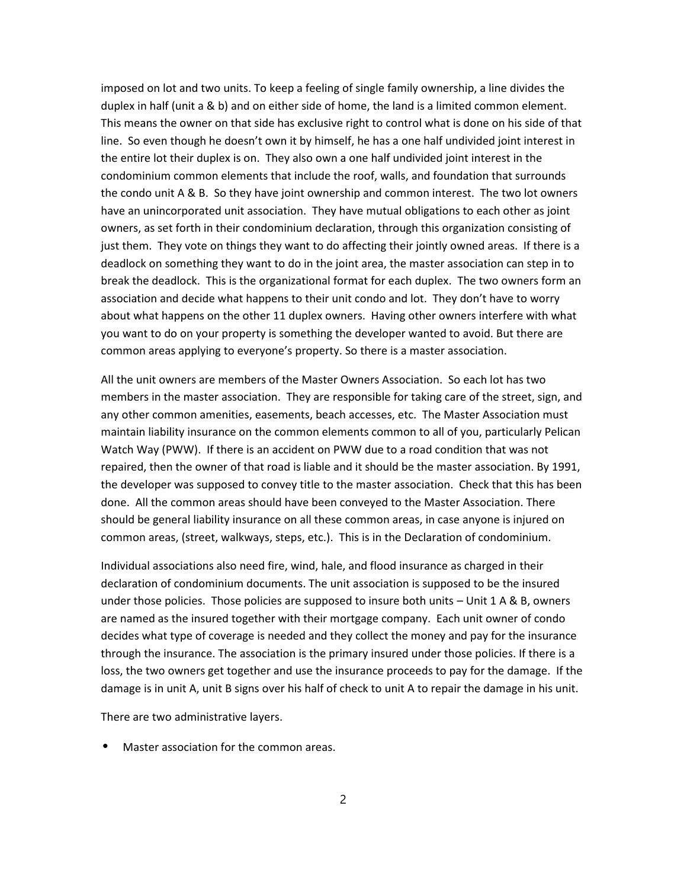imposed on lot and two units. To keep a feeling of single family ownership, a line divides the duplex in half (unit a & b) and on either side of home, the land is a limited common element. This means the owner on that side has exclusive right to control what is done on his side of that line. So even though he doesn't own it by himself, he has a one half undivided joint interest in the entire lot their duplex is on. They also own a one half undivided joint interest in the condominium common elements that include the roof, walls, and foundation that surrounds the condo unit A & B. So they have joint ownership and common interest. The two lot owners have an unincorporated unit association. They have mutual obligations to each other as joint owners, as set forth in their condominium declaration, through this organization consisting of just them. They vote on things they want to do affecting their jointly owned areas. If there is a deadlock on something they want to do in the joint area, the master association can step in to break the deadlock. This is the organizational format for each duplex. The two owners form an association and decide what happens to their unit condo and lot. They don't have to worry about what happens on the other 11 duplex owners. Having other owners interfere with what you want to do on your property is something the developer wanted to avoid. But there are common areas applying to everyone's property. So there is a master association.

All the unit owners are members of the Master Owners Association. So each lot has two members in the master association. They are responsible for taking care of the street, sign, and any other common amenities, easements, beach accesses, etc. The Master Association must maintain liability insurance on the common elements common to all of you, particularly Pelican Watch Way (PWW). If there is an accident on PWW due to a road condition that was not repaired, then the owner of that road is liable and it should be the master association. By 1991, the developer was supposed to convey title to the master association. Check that this has been done. All the common areas should have been conveyed to the Master Association. There should be general liability insurance on all these common areas, in case anyone is injured on common areas, (street, walkways, steps, etc.). This is in the Declaration of condominium.

Individual associations also need fire, wind, hale, and flood insurance as charged in their declaration of condominium documents. The unit association is supposed to be the insured under those policies. Those policies are supposed to insure both units – Unit 1 A & B, owners are named as the insured together with their mortgage company. Each unit owner of condo decides what type of coverage is needed and they collect the money and pay for the insurance through the insurance. The association is the primary insured under those policies. If there is a loss, the two owners get together and use the insurance proceeds to pay for the damage. If the damage is in unit A, unit B signs over his half of check to unit A to repair the damage in his unit.

There are two administrative layers.

Master association for the common areas.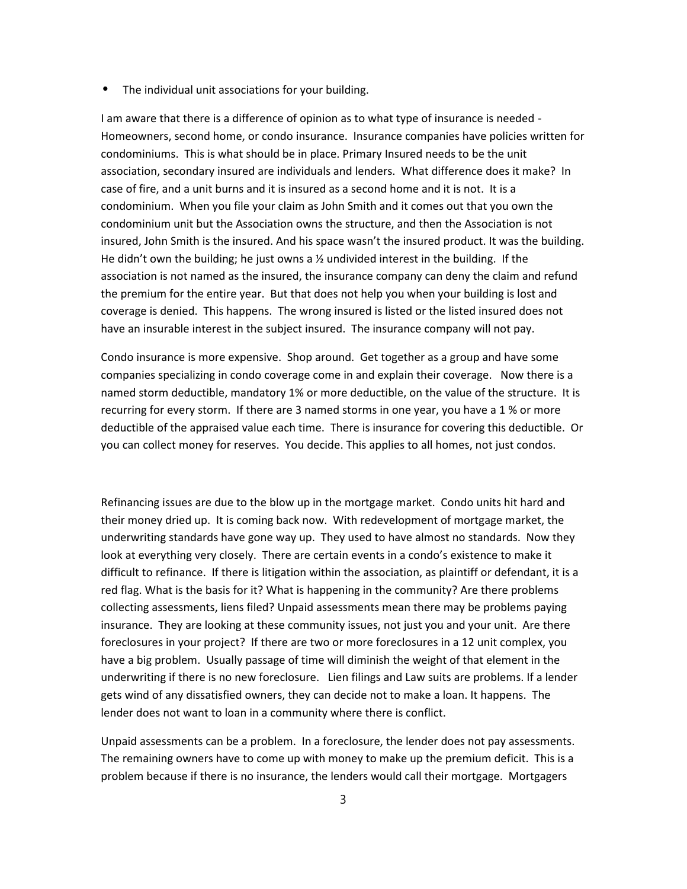⦁ The individual unit associations for your building.

I am aware that there is a difference of opinion as to what type of insurance is needed - Homeowners, second home, or condo insurance. Insurance companies have policies written for condominiums. This is what should be in place. Primary Insured needs to be the unit association, secondary insured are individuals and lenders. What difference does it make? In case of fire, and a unit burns and it is insured as a second home and it is not. It is a condominium. When you file your claim as John Smith and it comes out that you own the condominium unit but the Association owns the structure, and then the Association is not insured, John Smith is the insured. And his space wasn't the insured product. It was the building. He didn't own the building; he just owns a  $\frac{1}{2}$  undivided interest in the building. If the association is not named as the insured, the insurance company can deny the claim and refund the premium for the entire year. But that does not help you when your building is lost and coverage is denied. This happens. The wrong insured is listed or the listed insured does not have an insurable interest in the subject insured. The insurance company will not pay.

Condo insurance is more expensive. Shop around. Get together as a group and have some companies specializing in condo coverage come in and explain their coverage. Now there is a named storm deductible, mandatory 1% or more deductible, on the value of the structure. It is recurring for every storm. If there are 3 named storms in one year, you have a 1 % or more deductible of the appraised value each time. There is insurance for covering this deductible. Or you can collect money for reserves. You decide. This applies to all homes, not just condos.

Refinancing issues are due to the blow up in the mortgage market. Condo units hit hard and their money dried up. It is coming back now. With redevelopment of mortgage market, the underwriting standards have gone way up. They used to have almost no standards. Now they look at everything very closely. There are certain events in a condo's existence to make it difficult to refinance. If there is litigation within the association, as plaintiff or defendant, it is a red flag. What is the basis for it? What is happening in the community? Are there problems collecting assessments, liens filed? Unpaid assessments mean there may be problems paying insurance. They are looking at these community issues, not just you and your unit. Are there foreclosures in your project? If there are two or more foreclosures in a 12 unit complex, you have a big problem. Usually passage of time will diminish the weight of that element in the underwriting if there is no new foreclosure. Lien filings and Law suits are problems. If a lender gets wind of any dissatisfied owners, they can decide not to make a loan. It happens. The lender does not want to loan in a community where there is conflict.

Unpaid assessments can be a problem. In a foreclosure, the lender does not pay assessments. The remaining owners have to come up with money to make up the premium deficit. This is a problem because if there is no insurance, the lenders would call their mortgage. Mortgagers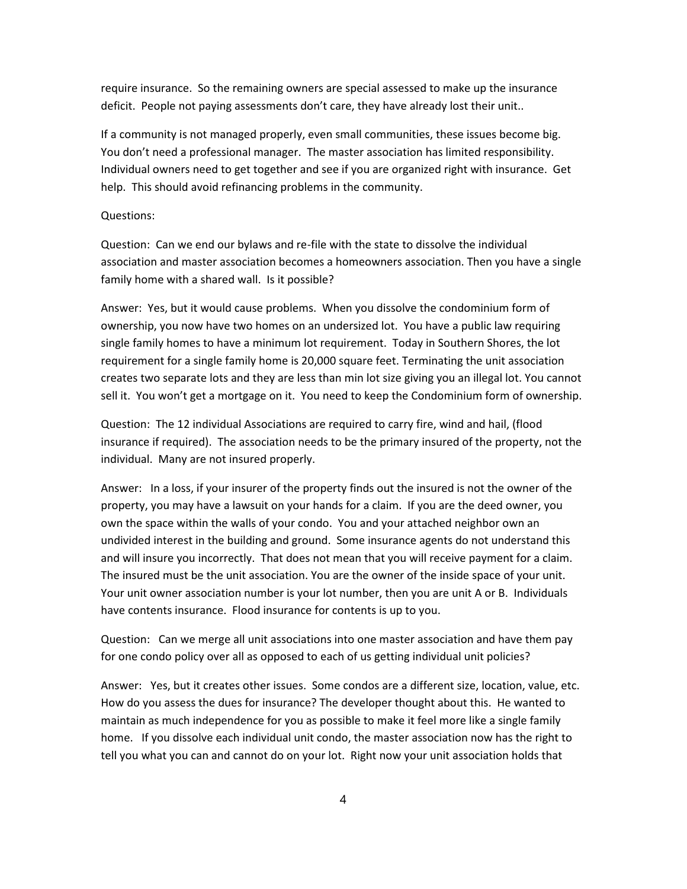require insurance. So the remaining owners are special assessed to make up the insurance deficit. People not paying assessments don't care, they have already lost their unit..

If a community is not managed properly, even small communities, these issues become big. You don't need a professional manager. The master association has limited responsibility. Individual owners need to get together and see if you are organized right with insurance. Get help. This should avoid refinancing problems in the community.

## Questions:

Question: Can we end our bylaws and re-file with the state to dissolve the individual association and master association becomes a homeowners association. Then you have a single family home with a shared wall. Is it possible?

Answer: Yes, but it would cause problems. When you dissolve the condominium form of ownership, you now have two homes on an undersized lot. You have a public law requiring single family homes to have a minimum lot requirement. Today in Southern Shores, the lot requirement for a single family home is 20,000 square feet. Terminating the unit association creates two separate lots and they are less than min lot size giving you an illegal lot. You cannot sell it. You won't get a mortgage on it. You need to keep the Condominium form of ownership.

Question: The 12 individual Associations are required to carry fire, wind and hail, (flood insurance if required). The association needs to be the primary insured of the property, not the individual. Many are not insured properly.

Answer: In a loss, if your insurer of the property finds out the insured is not the owner of the property, you may have a lawsuit on your hands for a claim. If you are the deed owner, you own the space within the walls of your condo. You and your attached neighbor own an undivided interest in the building and ground. Some insurance agents do not understand this and will insure you incorrectly. That does not mean that you will receive payment for a claim. The insured must be the unit association. You are the owner of the inside space of your unit. Your unit owner association number is your lot number, then you are unit A or B. Individuals have contents insurance. Flood insurance for contents is up to you.

Question: Can we merge all unit associations into one master association and have them pay for one condo policy over all as opposed to each of us getting individual unit policies?

Answer: Yes, but it creates other issues. Some condos are a different size, location, value, etc. How do you assess the dues for insurance? The developer thought about this. He wanted to maintain as much independence for you as possible to make it feel more like a single family home. If you dissolve each individual unit condo, the master association now has the right to tell you what you can and cannot do on your lot. Right now your unit association holds that